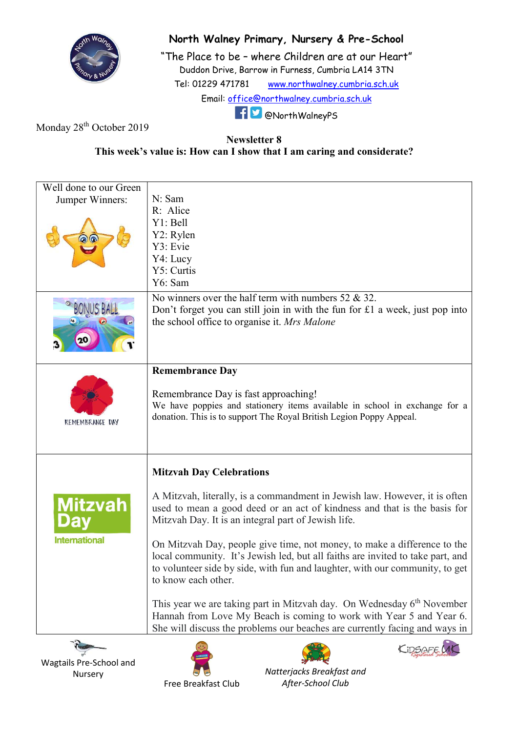

## North Walney Primary, Nursery & Pre-School

"The Place to be – where Children are at our Heart" Duddon Drive, Barrow in Furness, Cumbria LA14 3TN Tel: 01229 471781 www.northwalney.cumbria.sch.uk Email: office@northwalney.cumbria.sch.uk @NorthWalneyPS

Monday 28<sup>th</sup> October 2019

## Newsletter 8 This week's value is: How can I show that I am caring and considerate?

| Well done to our Green<br>Jumper Winners: | N: Sam<br>R: Alice<br>Y1: Bell<br>Y2: Rylen<br>Y3: Evie<br>Y4: Lucy<br>Y5: Curtis<br>Y6: Sam                                                                                                                                                                      |
|-------------------------------------------|-------------------------------------------------------------------------------------------------------------------------------------------------------------------------------------------------------------------------------------------------------------------|
|                                           | No winners over the half term with numbers $52 \& 32$ .<br>Don't forget you can still join in with the fun for £1 a week, just pop into<br>the school office to organise it. Mrs Malone                                                                           |
| <b>REMEMBRANCE DAY</b>                    | <b>Remembrance Day</b><br>Remembrance Day is fast approaching!<br>We have poppies and stationery items available in school in exchange for a<br>donation. This is to support The Royal British Legion Poppy Appeal.                                               |
|                                           | <b>Mitzvah Day Celebrations</b>                                                                                                                                                                                                                                   |
| <b>Mitzvah</b><br><b>International</b>    | A Mitzvah, literally, is a commandment in Jewish law. However, it is often<br>used to mean a good deed or an act of kindness and that is the basis for<br>Mitzvah Day. It is an integral part of Jewish life.                                                     |
|                                           | On Mitzvah Day, people give time, not money, to make a difference to the<br>local community. It's Jewish led, but all faiths are invited to take part, and<br>to volunteer side by side, with fun and laughter, with our community, to get<br>to know each other. |
|                                           | This year we are taking part in Mitzvah day. On Wednesday 6 <sup>th</sup> November<br>Hannah from Love My Beach is coming to work with Year 5 and Year 6.<br>She will discuss the problems our beaches are currently facing and ways in                           |
| <b>Report</b>                             | KIDSAFF LAK<br>$\ddotsc$                                                                                                                                                                                                                                          |

Wagtails Pre-School and Nursery







Free Breakfast Club

Natterjacks Breakfast and After-School Club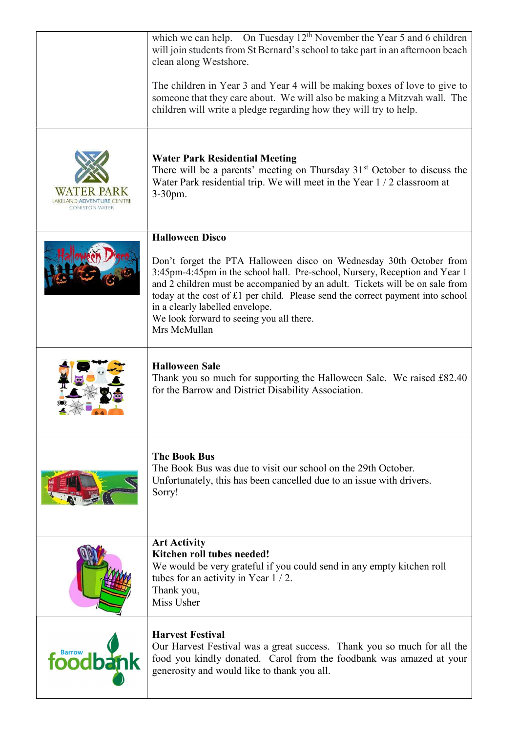|                       | which we can help. On Tuesday $12th$ November the Year 5 and 6 children<br>will join students from St Bernard's school to take part in an afternoon beach<br>clean along Westshore.                                                                                                                                                                                                                                 |
|-----------------------|---------------------------------------------------------------------------------------------------------------------------------------------------------------------------------------------------------------------------------------------------------------------------------------------------------------------------------------------------------------------------------------------------------------------|
|                       | The children in Year 3 and Year 4 will be making boxes of love to give to<br>someone that they care about. We will also be making a Mitzvah wall. The<br>children will write a pledge regarding how they will try to help.                                                                                                                                                                                          |
| <b>CONISTON WATER</b> | <b>Water Park Residential Meeting</b><br>There will be a parents' meeting on Thursday $31st$ October to discuss the<br>Water Park residential trip. We will meet in the Year 1 / 2 classroom at<br>$3-30$ pm.                                                                                                                                                                                                       |
|                       | <b>Halloween Disco</b>                                                                                                                                                                                                                                                                                                                                                                                              |
|                       | Don't forget the PTA Halloween disco on Wednesday 30th October from<br>3:45pm-4:45pm in the school hall. Pre-school, Nursery, Reception and Year 1<br>and 2 children must be accompanied by an adult. Tickets will be on sale from<br>today at the cost of £1 per child. Please send the correct payment into school<br>in a clearly labelled envelope.<br>We look forward to seeing you all there.<br>Mrs McMullan |
|                       | <b>Halloween Sale</b><br>Thank you so much for supporting the Halloween Sale. We raised £82.40<br>for the Barrow and District Disability Association.                                                                                                                                                                                                                                                               |
|                       | <b>The Book Bus</b><br>The Book Bus was due to visit our school on the 29th October.<br>Unfortunately, this has been cancelled due to an issue with drivers.<br>Sorry!                                                                                                                                                                                                                                              |
|                       | <b>Art Activity</b><br>Kitchen roll tubes needed!<br>We would be very grateful if you could send in any empty kitchen roll<br>tubes for an activity in Year $1/2$ .<br>Thank you,<br>Miss Usher                                                                                                                                                                                                                     |
| foodbay               | <b>Harvest Festival</b><br>Our Harvest Festival was a great success. Thank you so much for all the<br>food you kindly donated. Carol from the foodbank was amazed at your<br>generosity and would like to thank you all.                                                                                                                                                                                            |